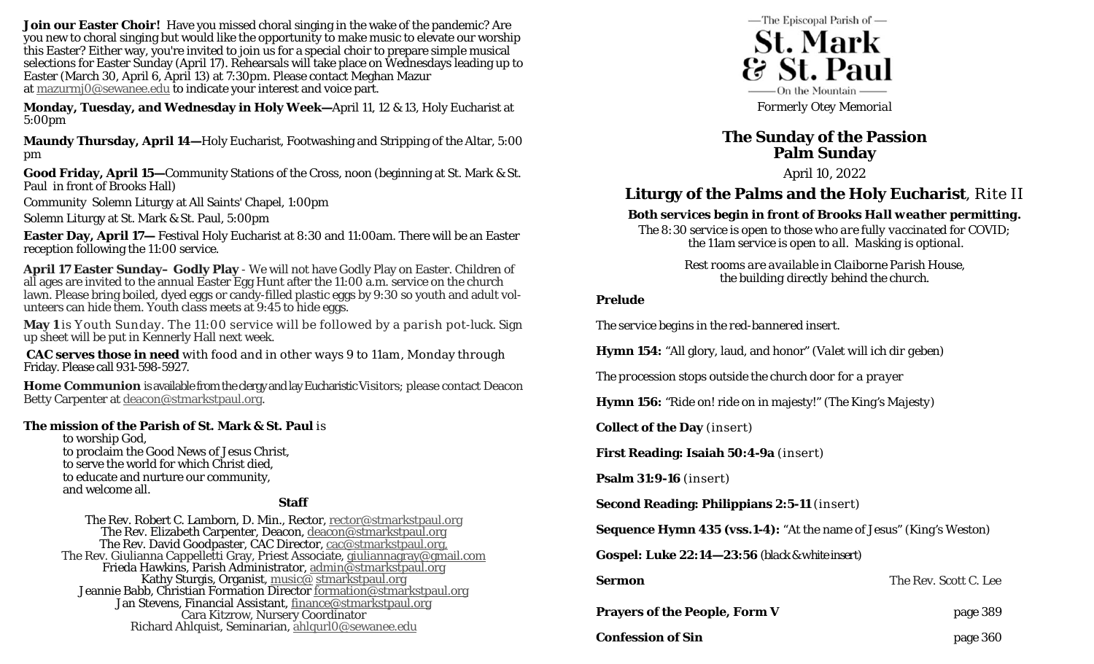**Join our Easter Choir!** Have you missed choral singing in the wake of the pandemic? Are you new to choral singing but would like the opportunity to make music to elevate our worship this Easter? Either way, you're invited to join us for a special choir to prepare simple musical selections for Easter Sunday (April 17). Rehearsals will take place on Wednesdays leading up to Easter (March 30, April 6, April 13) at 7:30pm. Please contact Meghan Mazur at mazurmj0@sewanee.edu to indicate your interest and voice part.

**Monday, Tuesday, and Wednesday in Holy Week—**April 11, 12 & 13, Holy Eucharist at 5:00pm

**Maundy Thursday, April 14—**Holy Eucharist, Footwashing and Stripping of the Altar, 5:00 pm

**Good Friday, April 15—**Community Stations of the Cross, noon (beginning at St. Mark & St. Paul in front of Brooks Hall)

Community Solemn Liturgy at All Saints' Chapel, 1:00pm

Solemn Liturgy at St. Mark & St. Paul, 5:00pm

**Easter Day, April 17—** Festival Holy Eucharist at 8:30 and 11:00am. There will be an Easter reception following the 11:00 service.

**April 17 Easter Sunday– Godly Play** - We will not have Godly Play on Easter. Children of all ages are invited to the annual Easter Egg Hunt after the 11:00 a.m. service on the church lawn. Please bring boiled, dyed eggs or candy-filled plastic eggs by 9:30 so youth and adult volunteers can hide them. Youth class meets at 9:45 to hide eggs.

**May 1** is Youth Sunday. The 11:00 service will be followed by a parish pot-luck. Sign up sheet will be put in Kennerly Hall next week.

**CAC serves those in need** with food and in other ways 9 to 11am, Monday through Friday. Please call 931-598-5927.

**Home Communion** is available from the clergy and lay Eucharistic Visitors; please contact Deacon Betty Carpenter at deacon@stmarkstpaul.org.

#### **The mission of the Parish of St. Mark & St. Paul** is

to worship God, to proclaim the Good News of Jesus Christ, to serve the world for which Christ died, to educate and nurture our community, and welcome all.

#### **Staff**

The Rev. Robert C. Lamborn, D. Min., Rector, <u>rector@stmarkstpaul.org</u><br>
The Rev. Elizabeth Carpenter, Deacon, <u>deacon@stmarkstpaul.org</u><br>
The Rev. David Goodpaster, CAC Director, <u>cac@stmarkstpaul.org</u><br>
The Rev. Giulianna C



*Formerly Otey Memorial* 

## **The Sunday of the Passion Palm Sunday**

April 10, 2022

# **Liturgy of the Palms and the Holy Eucharist**, Rite II

### *Both services begin in front of Brooks Hall weather permitting.*

*The 8:30 service is open to those who are fully vaccinated for COVID; the 11am service is open to all. Masking is optional.* 

> *Rest rooms are available in Claiborne Parish House, the building directly behind the church.*

#### **Prelude**

*The service begins in the red-bannered insert.* 

**Hymn 154:** "All glory, laud, and honor" *(Valet will ich dir geben)* 

*The procession stops outside the church door for a prayer* 

**Hymn 156:** "Ride on! ride on in majesty!" *(The King's Majesty)* 

**Collect of the Day** *(insert)* 

**First Reading: Isaiah 50:4-9a** *(insert)*

**Psalm 31:9-16** *(insert)*

**Second Reading: Philippians 2:5-11** *(insert)* 

**Sequence Hymn 435** *(vss.1-4)***:** "At the name of Jesus" *(King's Weston)* 

**Gospel: Luke 22:14—23:56** *(black & white insert)* 

| Sermon                               |  |
|--------------------------------------|--|
| <b>Prayers of the People, Form V</b> |  |

The Rev. Scott C. Lee

| <b>Prayers of the People, Form V</b> | page 389 |
|--------------------------------------|----------|
| <b>Confession of Sin</b>             | page 360 |